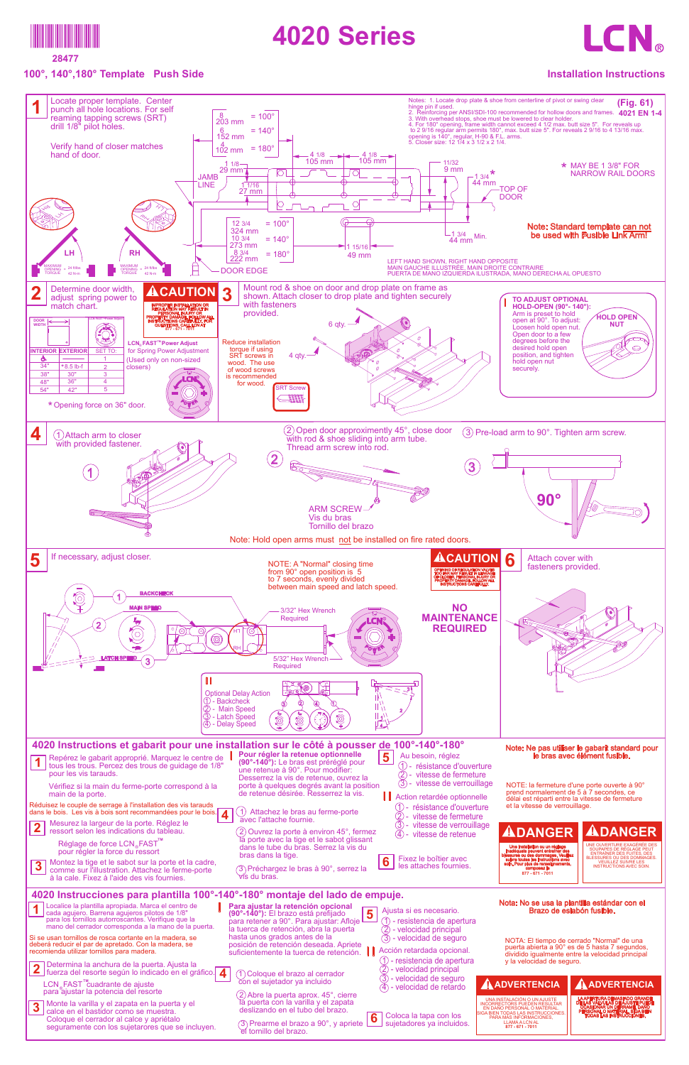

**28477**

## **100°, 140°,180° Template Push Side**

## **4020 Series**



## **Installation Instructions**

| Vérifiez si la main du ferme-porte correspond à la<br>main de la porte.<br>Réduisez le couple de serrage à l'installation des vis tarauds<br>dans le bois. Les vis à bois sont recommandées pour le bois.<br>Mesurez la largeur de la porte. Réglez le<br> 2 <br>ressort selon les indications du tableau.<br>Réglage de force LCN <sub>®</sub> FAST <sup>™</sup><br>pour régler la force du ressort<br>Montez la tige et le sabot sur la porte et la cadre,<br>$\overline{\mathbf{3}}$<br>comme sur l'illustration. Attachez le ferme-porte<br>à la cale. Fixez à l'aide des vis fournies.                                                                                                                                                                                                                                                         | porte à quelques degrés avant la position<br>de retenue désirée. Resserrez la vis.<br>Attachez le bras au ferme-porte<br>avec l'attache fournie.<br>2) Ouvrez la porte à environ 45°, fermez<br>la porte avec la tige et le sabot glissant<br>dans le tube du bras. Serrez la vis du<br>bras dans la tige.<br>6<br>(3) Préchargez le bras à 90°, serrez la<br>∀ís du bras.                                                                                                       | $(3)$ - vitesse de verrouillage<br>Action retardée optionnelle<br>(1) - résistance d'ouverture<br>(2) - vitesse de fermeture<br>(3)<br>- vitesse de verrouillage<br>$(4)$ - vitesse de retenue<br>Fixez le boîtier avec<br>les attaches fournies                                                                                          | NOTE: la fermeture d'une porte ouverte à 90°<br>prend normalement de 5 à 7 secondes, ce<br>délai est réparti entre la vitesse de fermeture<br>et la vitesse de verrouillage.<br><b>ADANGER</b><br>Une installation ou un réglage<br>inadéquats peuvent entraîner des<br>lessures ou des dommages. Veuillez<br>suivre toutes les instructions avec<br>soin. Pour plus de renseignements.<br>composez le<br>877 - 671 - 7011                                                                   | <b>ADANGER</b><br>JNE OUVERTURE EXAGÉRÉE DES<br>SOUPAPES DE RÉGLAGE PEUT<br><b>ENTRAÎNER DES FUITES, DES</b><br><b>BLESSURES OU DES DOMMAGES</b><br><b>VEUILLEZ SUIVRE LES</b><br><b>INSTRUCTIONS AVEC SOIN.</b> |
|-----------------------------------------------------------------------------------------------------------------------------------------------------------------------------------------------------------------------------------------------------------------------------------------------------------------------------------------------------------------------------------------------------------------------------------------------------------------------------------------------------------------------------------------------------------------------------------------------------------------------------------------------------------------------------------------------------------------------------------------------------------------------------------------------------------------------------------------------------|----------------------------------------------------------------------------------------------------------------------------------------------------------------------------------------------------------------------------------------------------------------------------------------------------------------------------------------------------------------------------------------------------------------------------------------------------------------------------------|-------------------------------------------------------------------------------------------------------------------------------------------------------------------------------------------------------------------------------------------------------------------------------------------------------------------------------------------|----------------------------------------------------------------------------------------------------------------------------------------------------------------------------------------------------------------------------------------------------------------------------------------------------------------------------------------------------------------------------------------------------------------------------------------------------------------------------------------------|------------------------------------------------------------------------------------------------------------------------------------------------------------------------------------------------------------------|
| 4020 Instrucciones para plantilla 100°-140°-180° montaje del lado de empuje.<br>Cocalice la plantilla apropiada. Marca el centro de<br>cada agujero. Barrena agujeros pilotos de 1/8"<br>para los tornillos autorroscantes. Verifique que la<br>mano del cerrador corresponda a la mano de la puerta.<br>Si se usan tornillos de rosca cortante en la madera, se<br>deberá reducir el par de apretado. Con la madera, se<br>recomienda utilizar tornillos para madera.<br>2 Determina la anchura de la puerta. Ajusta la<br>2 fuerza del resorte según lo indicado en el gráfico.<br>LCN FAST™cuadrante de ajuste<br>para ajustar la potencia del resorte<br>3 Monte la varilla y el zapata en la puerta y el calce en el bastidor como se muestra.<br>Coloque el cerrador al calce y apriétalo<br>seguramente con los sujetarores que se incluyen. | Para ajustar la retención opcional<br>para retener a 90°. Para ajustar: Afloje 5<br>hasta unos grados antes de la<br>posición de retención deseada. Apriete<br>suficientemente la tuerca de retención.<br>1) Coloque el brazo al cerrador<br>con el sujetador ya incluido<br>(2) Abre la puerta aprox. 45°, cierre<br>la puerta con la varilla y el zapata<br>deslizando en el tubo del brazo.<br>$\boxed{6}$<br>(3) Prearme el brazo a 90°, y apriete<br>el tornillo del brazo. | Ajusta si es necesario.<br>1) - resistencia de apertura<br>2 - velocidad principal<br>3 - velocidad de seguro<br>Acción retardada opcional.<br>$(1)$ - resistencia de apertura<br>(2) - velocidad principal<br>3) - velocidad de seguro<br>$\overline{4}$ ) - velocidad de retardo<br>Coloca la tapa con los<br>sujetadores ya incluidos. | Nota: No se usa la plantilla estándar con el<br>Brazo de eslabón fusible.<br>NOTA: El tiempo de cerrado "Normal" de una<br>puerta abierta a 90° es de 5 hasta 7 segundos,<br>dividido igualmente entre la velocidad principal<br>y la velocidad de seguro.<br>AADVERTENCIA<br>UNA INSTALACIÓN O UN AJUSTE<br><b>INCORRECTORS PUEDEN RESULTAR</b><br>EN DAÑO PERSONAL O MATERIAL<br>SIGA BIEN TODAS LAS INSTRUCCIONES<br>PARA MÁS INFORMACIONES.<br><b>LLAMA A LCN AL</b><br>877 - 671 - 7011 | AADVERTENCIA<br>LA APERTURA DEMASIADO GRANDE<br>DE LAS VÁLVULAS DE AJUSTE PUEDE<br>OCASIONAR UN DERRAME, DAÑO<br>PERSONAL O MATERIAL. SIGA BIEN<br><b>TODAS LAS INSTRUCCIONES.</b>                               |

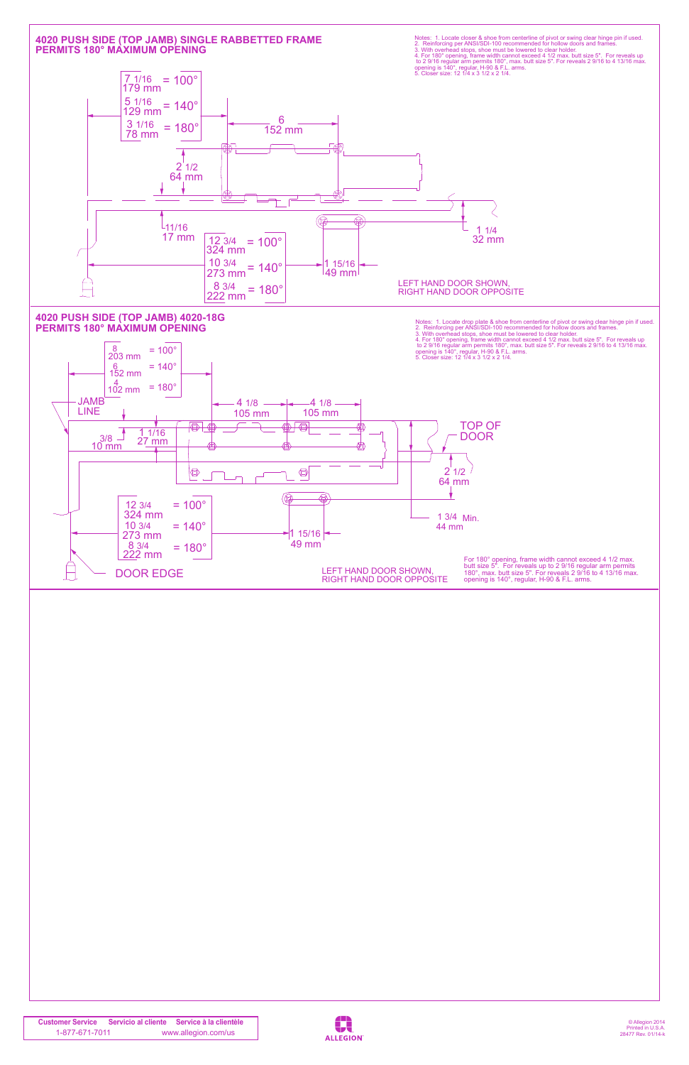© Allegion 2014 Printed in U.S.A. 28477 Rev. 01/14-k

**Customer Service Servicio al cliente Service à la clientèle** 1-877-671-7011 www.allegion.com/us